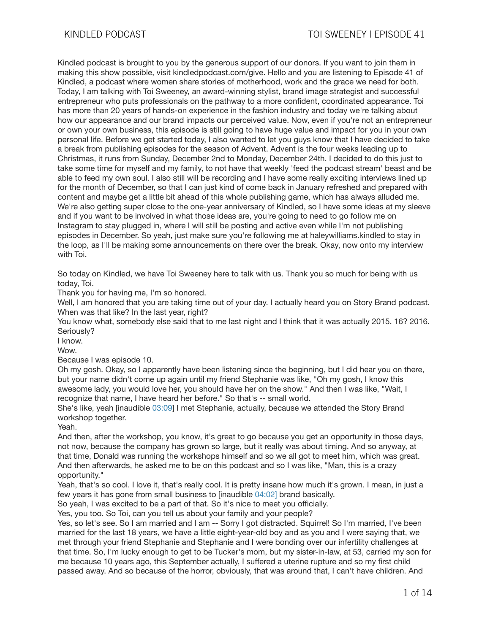Kindled podcast is brought to you by the generous support of our donors. If you want to join them in making this show possible, visit kindledpodcast.com/give. Hello and you are listening to Episode 41 of Kindled, a podcast where women share stories of motherhood, work and the grace we need for both. Today, I am talking with Toi Sweeney, an award-winning stylist, brand image strategist and successful entrepreneur who puts professionals on the pathway to a more confident, coordinated appearance. Toi has more than 20 years of hands-on experience in the fashion industry and today we're talking about how our appearance and our brand impacts our perceived value. Now, even if you're not an entrepreneur or own your own business, this episode is still going to have huge value and impact for you in your own personal life. Before we get started today, I also wanted to let you guys know that I have decided to take a break from publishing episodes for the season of Advent. Advent is the four weeks leading up to Christmas, it runs from Sunday, December 2nd to Monday, December 24th. I decided to do this just to take some time for myself and my family, to not have that weekly 'feed the podcast stream' beast and be able to feed my own soul. I also still will be recording and I have some really exciting interviews lined up for the month of December, so that I can just kind of come back in January refreshed and prepared with content and maybe get a little bit ahead of this whole publishing game, which has always alluded me. We're also getting super close to the one-year anniversary of Kindled, so I have some ideas at my sleeve and if you want to be involved in what those ideas are, you're going to need to go follow me on Instagram to stay plugged in, where I will still be posting and active even while I'm not publishing episodes in December. So yeah, just make sure you're following me at haleywilliams.kindled to stay in the loop, as I'll be making some announcements on there over the break. Okay, now onto my interview with Toi.

So today on Kindled, we have Toi Sweeney here to talk with us. Thank you so much for being with us today, Toi.

Thank you for having me, I'm so honored.

Well, I am honored that you are taking time out of your day. I actually heard you on Story Brand podcast. When was that like? In the last year, right?

You know what, somebody else said that to me last night and I think that it was actually 2015. 16? 2016. Seriously?

I know.

Wow.

Because I was episode 10.

Oh my gosh. Okay, so I apparently have been listening since the beginning, but I did hear you on there, but your name didn't come up again until my friend Stephanie was like, "Oh my gosh, I know this awesome lady, you would love her, you should have her on the show." And then I was like, "Wait, I recognize that name, I have heard her before." So that's -- small world.

She's like, yeah [inaudible 03:09] I met Stephanie, actually, because we attended the Story Brand workshop together.

Yeah.

And then, after the workshop, you know, it's great to go because you get an opportunity in those days, not now, because the company has grown so large, but it really was about timing. And so anyway, at that time, Donald was running the workshops himself and so we all got to meet him, which was great. And then afterwards, he asked me to be on this podcast and so I was like, "Man, this is a crazy opportunity."

Yeah, that's so cool. I love it, that's really cool. It is pretty insane how much it's grown. I mean, in just a few years it has gone from small business to [inaudible 04:02] brand basically.

So yeah, I was excited to be a part of that. So it's nice to meet you officially.

Yes, you too. So Toi, can you tell us about your family and your people?

Yes, so let's see. So I am married and I am -- Sorry I got distracted. Squirrel! So I'm married, I've been married for the last 18 years, we have a little eight-year-old boy and as you and I were saying that, we met through your friend Stephanie and Stephanie and I were bonding over our infertility challenges at that time. So, I'm lucky enough to get to be Tucker's mom, but my sister-in-law, at 53, carried my son for me because 10 years ago, this September actually, I suffered a uterine rupture and so my first child passed away. And so because of the horror, obviously, that was around that, I can't have children. And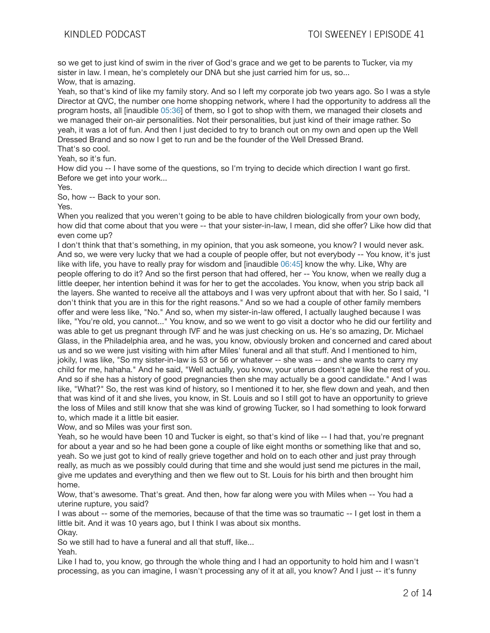so we get to just kind of swim in the river of God's grace and we get to be parents to Tucker, via my sister in law. I mean, he's completely our DNA but she just carried him for us, so... Wow, that is amazing.

Yeah, so that's kind of like my family story. And so I left my corporate job two years ago. So I was a style Director at QVC, the number one home shopping network, where I had the opportunity to address all the program hosts, all [inaudible 05:36] of them, so I got to shop with them, we managed their closets and we managed their on-air personalities. Not their personalities, but just kind of their image rather. So yeah, it was a lot of fun. And then I just decided to try to branch out on my own and open up the Well Dressed Brand and so now I get to run and be the founder of the Well Dressed Brand. That's so cool.

Yeah, so it's fun.

How did you -- I have some of the questions, so I'm trying to decide which direction I want go first. Before we get into your work...

Yes.

So, how -- Back to your son.

Yes.

When you realized that you weren't going to be able to have children biologically from your own body. how did that come about that you were -- that your sister-in-law, I mean, did she offer? Like how did that even come up?

I don't think that that's something, in my opinion, that you ask someone, you know? I would never ask. And so, we were very lucky that we had a couple of people offer, but not everybody -- You know, it's just like with life, you have to really pray for wisdom and [inaudible 06:45] know the why. Like, Why are people offering to do it? And so the first person that had offered, her -- You know, when we really dug a little deeper, her intention behind it was for her to get the accolades. You know, when you strip back all the layers. She wanted to receive all the attaboys and I was very upfront about that with her. So I said, "I don't think that you are in this for the right reasons." And so we had a couple of other family members offer and were less like, "No." And so, when my sister-in-law offered, I actually laughed because I was like, "You're old, you cannot..." You know, and so we went to go visit a doctor who he did our fertility and was able to get us pregnant through IVF and he was just checking on us. He's so amazing, Dr. Michael Glass, in the Philadelphia area, and he was, you know, obviously broken and concerned and cared about us and so we were just visiting with him after Miles' funeral and all that stuff. And I mentioned to him, jokily, I was like, "So my sister-in-law is 53 or 56 or whatever -- she was -- and she wants to carry my child for me, hahaha." And he said, "Well actually, you know, your uterus doesn't age like the rest of you. And so if she has a history of good pregnancies then she may actually be a good candidate." And I was like, "What?" So, the rest was kind of history, so I mentioned it to her, she flew down and yeah, and then that was kind of it and she lives, you know, in St. Louis and so I still got to have an opportunity to grieve the loss of Miles and still know that she was kind of growing Tucker, so I had something to look forward to, which made it a little bit easier.

Wow, and so Miles was your first son.

Yeah, so he would have been 10 and Tucker is eight, so that's kind of like -- I had that, you're pregnant for about a year and so he had been gone a couple of like eight months or something like that and so, yeah. So we just got to kind of really grieve together and hold on to each other and just pray through really, as much as we possibly could during that time and she would just send me pictures in the mail, give me updates and everything and then we flew out to St. Louis for his birth and then brought him home.

Wow, that's awesome. That's great. And then, how far along were you with Miles when -- You had a uterine rupture, you said?

I was about -- some of the memories, because of that the time was so traumatic -- I get lost in them a little bit. And it was 10 years ago, but I think I was about six months. Okay.

So we still had to have a funeral and all that stuff, like...

Yeah.

Like I had to, you know, go through the whole thing and I had an opportunity to hold him and I wasn't processing, as you can imagine, I wasn't processing any of it at all, you know? And I just -- it's funny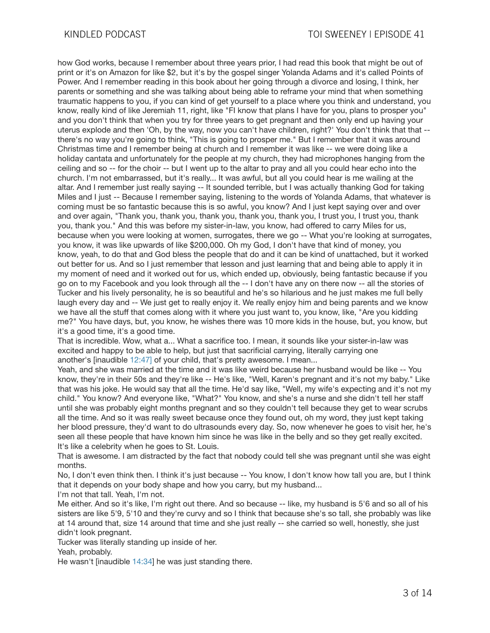how God works, because I remember about three years prior, I had read this book that might be out of print or it's on Amazon for like \$2, but it's by the gospel singer Yolanda Adams and it's called Points of Power. And I remember reading in this book about her going through a divorce and losing, I think, her parents or something and she was talking about being able to reframe your mind that when something traumatic happens to you, if you can kind of get yourself to a place where you think and understand, you know, really kind of like Jeremiah 11, right, like "FI know that plans I have for you, plans to prosper you" and you don't think that when you try for three years to get pregnant and then only end up having your uterus explode and then 'Oh, by the way, now you can't have children, right?' You don't think that that - there's no way you're going to think, "This is going to prosper me." But I remember that it was around Christmas time and I remember being at church and I remember it was like -- we were doing like a holiday cantata and unfortunately for the people at my church, they had microphones hanging from the ceiling and so -- for the choir -- but I went up to the altar to pray and all you could hear echo into the church. I'm not embarrassed, but it's really... It was awful, but all you could hear is me wailing at the altar. And I remember just really saying -- It sounded terrible, but I was actually thanking God for taking Miles and I just -- Because I remember saying, listening to the words of Yolanda Adams, that whatever is coming must be so fantastic because this is so awful, you know? And I just kept saying over and over and over again, "Thank you, thank you, thank you, thank you, thank you, I trust you, I trust you, thank you, thank you." And this was before my sister-in-law, you know, had offered to carry Miles for us, because when you were looking at women, surrogates, there we go -- What you're looking at surrogates, you know, it was like upwards of like \$200,000. Oh my God, I don't have that kind of money, you know, yeah, to do that and God bless the people that do and it can be kind of unattached, but it worked out better for us. And so I just remember that lesson and just learning that and being able to apply it in my moment of need and it worked out for us, which ended up, obviously, being fantastic because if you go on to my Facebook and you look through all the -- I don't have any on there now -- all the stories of Tucker and his lively personality, he is so beautiful and he's so hilarious and he just makes me full belly laugh every day and -- We just get to really enjoy it. We really enjoy him and being parents and we know we have all the stuff that comes along with it where you just want to, you know, like, "Are you kidding me?" You have days, but, you know, he wishes there was 10 more kids in the house, but, you know, but it's a good time, it's a good time.

That is incredible. Wow, what a... What a sacrifice too. I mean, it sounds like your sister-in-law was excited and happy to be able to help, but just that sacrificial carrying, literally carrying one another's [inaudible 12:47] of your child, that's pretty awesome. I mean...

Yeah, and she was married at the time and it was like weird because her husband would be like -- You know, they're in their 50s and they're like -- He's like, "Well, Karen's pregnant and it's not my baby." Like that was his joke. He would say that all the time. He'd say like, "Well, my wife's expecting and it's not my child." You know? And everyone like, "What?" You know, and she's a nurse and she didn't tell her staff until she was probably eight months pregnant and so they couldn't tell because they get to wear scrubs all the time. And so it was really sweet because once they found out, oh my word, they just kept taking her blood pressure, they'd want to do ultrasounds every day. So, now whenever he goes to visit her, he's seen all these people that have known him since he was like in the belly and so they get really excited. It's like a celebrity when he goes to St. Louis.

That is awesome. I am distracted by the fact that nobody could tell she was pregnant until she was eight months.

No, I don't even think then. I think it's just because -- You know, I don't know how tall you are, but I think that it depends on your body shape and how you carry, but my husband...

I'm not that tall. Yeah, I'm not.

Me either. And so it's like, I'm right out there. And so because -- like, my husband is 5'6 and so all of his sisters are like 5'9, 5'10 and they're curvy and so I think that because she's so tall, she probably was like at 14 around that, size 14 around that time and she just really -- she carried so well, honestly, she just didn't look pregnant.

Tucker was literally standing up inside of her.

Yeah, probably.

He wasn't [inaudible 14:34] he was just standing there.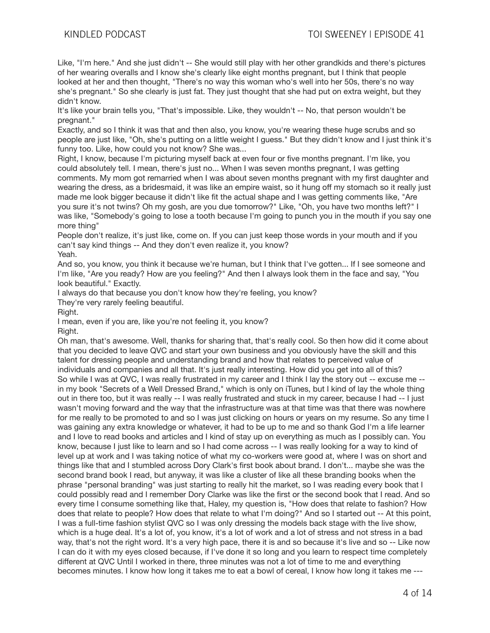Like, "I'm here." And she just didn't -- She would still play with her other grandkids and there's pictures of her wearing overalls and I know she's clearly like eight months pregnant, but I think that people looked at her and then thought, "There's no way this woman who's well into her 50s, there's no way she's pregnant." So she clearly is just fat. They just thought that she had put on extra weight, but they didn't know.

It's like your brain tells you, "That's impossible. Like, they wouldn't -- No, that person wouldn't be pregnant."

Exactly, and so I think it was that and then also, you know, you're wearing these huge scrubs and so people are just like, "Oh, she's putting on a little weight I guess." But they didn't know and I just think it's funny too. Like, how could you not know? She was...

Right, I know, because I'm picturing myself back at even four or five months pregnant. I'm like, you could absolutely tell. I mean, there's just no... When I was seven months pregnant, I was getting comments. My mom got remarried when I was about seven months pregnant with my first daughter and wearing the dress, as a bridesmaid, it was like an empire waist, so it hung off my stomach so it really just made me look bigger because it didn't like fit the actual shape and I was getting comments like, "Are you sure it's not twins? Oh my gosh, are you due tomorrow?" Like, "Oh, you have two months left?" I was like, "Somebody's going to lose a tooth because I'm going to punch you in the mouth if you say one more thing"

People don't realize, it's just like, come on. If you can just keep those words in your mouth and if you can't say kind things -- And they don't even realize it, you know? Yeah.

And so, you know, you think it because we're human, but I think that I've gotten... If I see someone and I'm like, "Are you ready? How are you feeling?" And then I always look them in the face and say, "You look beautiful." Exactly.

I always do that because you don't know how they're feeling, you know?

They're very rarely feeling beautiful.

Right.

I mean, even if you are, like you're not feeling it, you know? Right.

Oh man, that's awesome. Well, thanks for sharing that, that's really cool. So then how did it come about that you decided to leave QVC and start your own business and you obviously have the skill and this talent for dressing people and understanding brand and how that relates to perceived value of individuals and companies and all that. It's just really interesting. How did you get into all of this? So while I was at QVC, I was really frustrated in my career and I think I lay the story out -- excuse me - in my book "Secrets of a Well Dressed Brand," which is only on iTunes, but I kind of lay the whole thing out in there too, but it was really -- I was really frustrated and stuck in my career, because I had -- I just wasn't moving forward and the way that the infrastructure was at that time was that there was nowhere for me really to be promoted to and so I was just clicking on hours or years on my resume. So any time I was gaining any extra knowledge or whatever, it had to be up to me and so thank God I'm a life learner and I love to read books and articles and I kind of stay up on everything as much as I possibly can. You know, because I just like to learn and so I had come across -- I was really looking for a way to kind of level up at work and I was taking notice of what my co-workers were good at, where I was on short and things like that and I stumbled across Dory Clark's first book about brand. I don't... maybe she was the second brand book I read, but anyway, it was like a cluster of like all these branding books when the phrase "personal branding" was just starting to really hit the market, so I was reading every book that I could possibly read and I remember Dory Clarke was like the first or the second book that I read. And so every time I consume something like that, Haley, my question is, "How does that relate to fashion? How does that relate to people? How does that relate to what I'm doing?" And so I started out -- At this point, I was a full-time fashion stylist QVC so I was only dressing the models back stage with the live show, which is a huge deal. It's a lot of, you know, it's a lot of work and a lot of stress and not stress in a bad way, that's not the right word. It's a very high pace, there it is and so because it's live and so -- Like now I can do it with my eyes closed because, if I've done it so long and you learn to respect time completely different at QVC Until I worked in there, three minutes was not a lot of time to me and everything becomes minutes. I know how long it takes me to eat a bowl of cereal, I know how long it takes me ---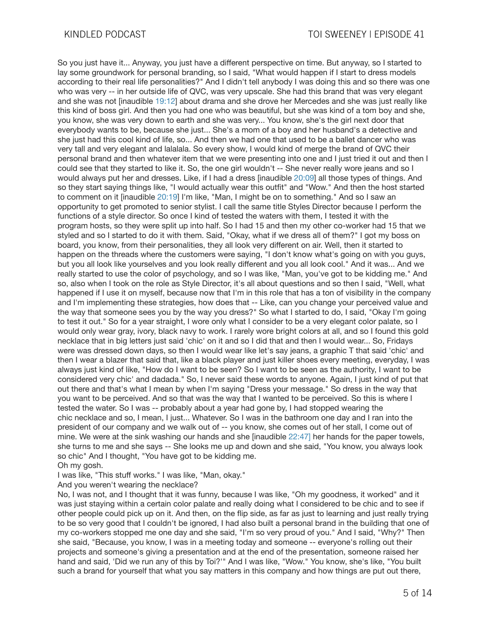So you just have it... Anyway, you just have a different perspective on time. But anyway, so I started to lay some groundwork for personal branding, so I said, "What would happen if I start to dress models according to their real life personalities?" And I didn't tell anybody I was doing this and so there was one who was very -- in her outside life of QVC, was very upscale. She had this brand that was very elegant and she was not [inaudible 19:12] about drama and she drove her Mercedes and she was just really like this kind of boss girl. And then you had one who was beautiful, but she was kind of a tom boy and she, you know, she was very down to earth and she was very... You know, she's the girl next door that everybody wants to be, because she just... She's a mom of a boy and her husband's a detective and she just had this cool kind of life, so... And then we had one that used to be a ballet dancer who was very tall and very elegant and lalalala. So every show, I would kind of merge the brand of QVC their personal brand and then whatever item that we were presenting into one and I just tried it out and then I could see that they started to like it. So, the one girl wouldn't -- She never really wore jeans and so I would always put her and dresses. Like, if I had a dress [inaudible 20:09] all those types of things. And so they start saying things like, "I would actually wear this outfit" and "Wow." And then the host started to comment on it [inaudible 20:19] I'm like, "Man, I might be on to something." And so I saw an opportunity to get promoted to senior stylist. I call the same title Styles Director because I perform the functions of a style director. So once I kind of tested the waters with them, I tested it with the program hosts, so they were split up into half. So I had 15 and then my other co-worker had 15 that we styled and so I started to do it with them. Said, "Okay, what if we dress all of them?" I got my boss on board, you know, from their personalities, they all look very different on air. Well, then it started to happen on the threads where the customers were saying, "I don't know what's going on with you guys, but you all look like yourselves and you look really different and you all look cool." And it was... And we really started to use the color of psychology, and so I was like, "Man, you've got to be kidding me." And so, also when I took on the role as Style Director, it's all about questions and so then I said, "Well, what happened if I use it on myself, because now that I'm in this role that has a ton of visibility in the company and I'm implementing these strategies, how does that -- Like, can you change your perceived value and the way that someone sees you by the way you dress?" So what I started to do, I said, "Okay I'm going to test it out." So for a year straight, I wore only what I consider to be a very elegant color palate, so I would only wear gray, ivory, black navy to work. I rarely wore bright colors at all, and so I found this gold necklace that in big letters just said 'chic' on it and so I did that and then I would wear... So, Fridays were was dressed down days, so then I would wear like let's say jeans, a graphic T that said 'chic' and then I wear a blazer that said that, like a black player and just killer shoes every meeting, everyday, I was always just kind of like, "How do I want to be seen? So I want to be seen as the authority, I want to be considered very chic' and dadada." So, I never said these words to anyone. Again, I just kind of put that out there and that's what I mean by when I'm saying "Dress your message." So dress in the way that you want to be perceived. And so that was the way that I wanted to be perceived. So this is where I tested the water. So I was -- probably about a year had gone by, I had stopped wearing the chic necklace and so, I mean, I just... Whatever. So I was in the bathroom one day and I ran into the president of our company and we walk out of -- you know, she comes out of her stall, I come out of mine. We were at the sink washing our hands and she linaudible 22:47] her hands for the paper towels. she turns to me and she says -- She looks me up and down and she said, "You know, you always look so chic" And I thought, "You have got to be kidding me. Oh my gosh.

I was like, "This stuff works." I was like, "Man, okay."

And you weren't wearing the necklace?

No, I was not, and I thought that it was funny, because I was like, "Oh my goodness, it worked" and it was just staying within a certain color palate and really doing what I considered to be chic and to see if other people could pick up on it. And then, on the flip side, as far as just to learning and just really trying to be so very good that I couldn't be ignored, I had also built a personal brand in the building that one of my co-workers stopped me one day and she said, "I'm so very proud of you." And I said, "Why?" Then she said, "Because, you know, I was in a meeting today and someone -- everyone's rolling out their projects and someone's giving a presentation and at the end of the presentation, someone raised her hand and said, 'Did we run any of this by Toi?'" And I was like, "Wow." You know, she's like, "You built such a brand for yourself that what you say matters in this company and how things are put out there,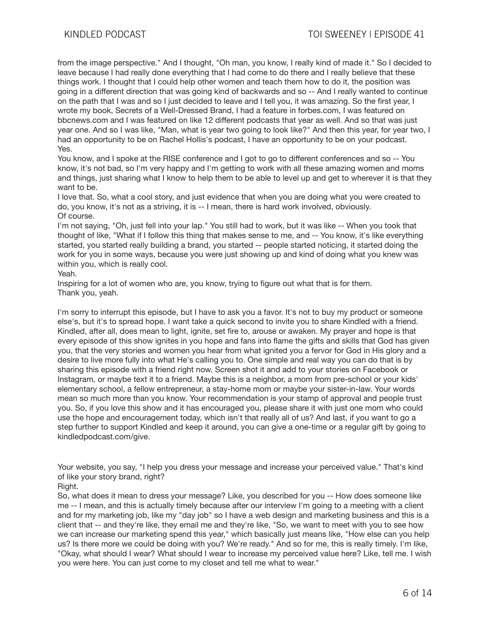from the image perspective." And I thought, "Oh man, you know, I really kind of made it." So I decided to leave because I had really done everything that I had come to do there and I really believe that these things work. I thought that I could help other women and teach them how to do it, the position was going in a different direction that was going kind of backwards and so -- And I really wanted to continue on the path that I was and so I just decided to leave and I tell you, it was amazing. So the first year, I wrote my book, Secrets of a Well-Dressed Brand, I had a feature in forbes.com, I was featured on bbcnews.com and I was featured on like 12 different podcasts that year as well. And so that was just year one. And so I was like, "Man, what is year two going to look like?" And then this year, for year two, I had an opportunity to be on Rachel Hollis's podcast, I have an opportunity to be on your podcast. Yes.

You know, and I spoke at the RISE conference and I got to go to different conferences and so -- You know, it's not bad, so I'm very happy and I'm getting to work with all these amazing women and moms and things, just sharing what I know to help them to be able to level up and get to wherever it is that they want to be.

I love that. So, what a cool story, and just evidence that when you are doing what you were created to do, you know, it's not as a striving, it is -- I mean, there is hard work involved, obviously. Of course.

I'm not saying, "Oh, just fell into your lap." You still had to work, but it was like -- When you took that thought of like, "What if I follow this thing that makes sense to me, and -- You know, it's like everything started, you started really building a brand, you started -- people started noticing, it started doing the work for you in some ways, because you were just showing up and kind of doing what you knew was within you, which is really cool.

## Yeah.

Inspiring for a lot of women who are, you know, trying to figure out what that is for them. Thank you, yeah.

I'm sorry to interrupt this episode, but I have to ask you a favor. It's not to buy my product or someone else's, but it's to spread hope. I want take a quick second to invite you to share Kindled with a friend. Kindled, after all, does mean to light, ignite, set fire to, arouse or awaken. My prayer and hope is that every episode of this show ignites in you hope and fans into flame the gifts and skills that God has given you, that the very stories and women you hear from what ignited you a fervor for God in His glory and a desire to live more fully into what He's calling you to. One simple and real way you can do that is by sharing this episode with a friend right now. Screen shot it and add to your stories on Facebook or Instagram, or maybe text it to a friend. Maybe this is a neighbor, a mom from pre-school or your kids' elementary school, a fellow entrepreneur, a stay-home mom or maybe your sister-in-law. Your words mean so much more than you know. Your recommendation is your stamp of approval and people trust you. So, if you love this show and it has encouraged you, please share it with just one mom who could use the hope and encouragement today, which isn't that really all of us? And last, if you want to go a step further to support Kindled and keep it around, you can give a one-time or a regular gift by going to kindledpodcast.com/give.

Your website, you say, "I help you dress your message and increase your perceived value." That's kind of like your story brand, right?

So, what does it mean to dress your message? Like, you described for you -- How does someone like me -- I mean, and this is actually timely because after our interview I'm going to a meeting with a client and for my marketing job, like my "day job" so I have a web design and marketing business and this is a client that -- and they're like, they email me and they're like, "So, we want to meet with you to see how we can increase our marketing spend this year," which basically just means like, "How else can you help us? Is there more we could be doing with you? We're ready." And so for me, this is really timely. I'm like, "Okay, what should I wear? What should I wear to increase my perceived value here? Like, tell me. I wish you were here. You can just come to my closet and tell me what to wear."

Right.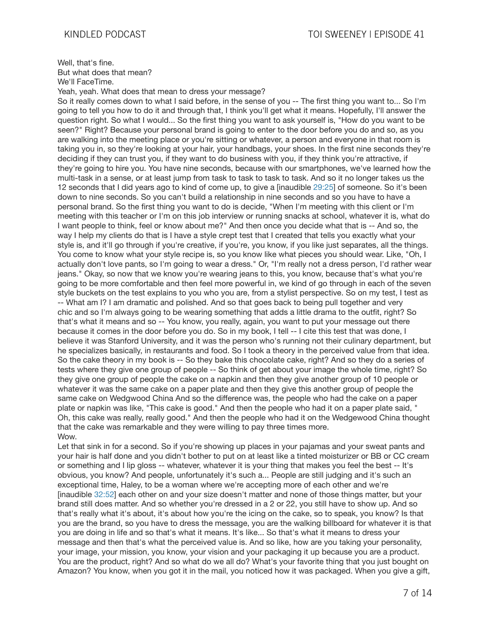Well, that's fine. But what does that mean? We'll FaceTime.

Yeah, yeah. What does that mean to dress your message?

So it really comes down to what I said before, in the sense of you -- The first thing you want to... So I'm going to tell you how to do it and through that, I think you'll get what it means. Hopefully, I'll answer the question right. So what I would... So the first thing you want to ask yourself is, "How do you want to be seen?" Right? Because your personal brand is going to enter to the door before you do and so, as you are walking into the meeting place or you're sitting or whatever, a person and everyone in that room is taking you in, so they're looking at your hair, your handbags, your shoes. In the first nine seconds they're deciding if they can trust you, if they want to do business with you, if they think you're attractive, if they're going to hire you. You have nine seconds, because with our smartphones, we've learned how the multi-task in a sense, or at least jump from task to task to task to task. And so it no longer takes us the 12 seconds that I did years ago to kind of come up, to give a [inaudible 29:25] of someone. So it's been down to nine seconds. So you can't build a relationship in nine seconds and so you have to have a personal brand. So the first thing you want to do is decide, "When I'm meeting with this client or I'm meeting with this teacher or I'm on this job interview or running snacks at school, whatever it is, what do I want people to think, feel or know about me?" And then once you decide what that is -- And so, the way I help my clients do that is I have a style crept test that I created that tells you exactly what your style is, and it'll go through if you're creative, if you're, you know, if you like just separates, all the things. You come to know what your style recipe is, so you know like what pieces you should wear. Like, "Oh, I actually don't love pants, so I'm going to wear a dress." Or, "I'm really not a dress person, I'd rather wear jeans." Okay, so now that we know you're wearing jeans to this, you know, because that's what you're going to be more comfortable and then feel more powerful in, we kind of go through in each of the seven style buckets on the test explains to you who you are, from a stylist perspective. So on my test, I test as -- What am I? I am dramatic and polished. And so that goes back to being pull together and very chic and so I'm always going to be wearing something that adds a little drama to the outfit, right? So that's what it means and so -- You know, you really, again, you want to put your message out there because it comes in the door before you do. So in my book, I tell -- I cite this test that was done, I believe it was Stanford University, and it was the person who's running not their culinary department, but he specializes basically, in restaurants and food. So I took a theory in the perceived value from that idea. So the cake theory in my book is -- So they bake this chocolate cake, right? And so they do a series of tests where they give one group of people -- So think of get about your image the whole time, right? So they give one group of people the cake on a napkin and then they give another group of 10 people or whatever it was the same cake on a paper plate and then they give this another group of people the same cake on Wedgwood China And so the difference was, the people who had the cake on a paper plate or napkin was like, "This cake is good." And then the people who had it on a paper plate said, " Oh, this cake was really, really good." And then the people who had it on the Wedgewood China thought that the cake was remarkable and they were willing to pay three times more. Wow.

Let that sink in for a second. So if you're showing up places in your pajamas and your sweat pants and your hair is half done and you didn't bother to put on at least like a tinted moisturizer or BB or CC cream or something and I lip gloss -- whatever, whatever it is your thing that makes you feel the best -- It's obvious, you know? And people, unfortunately it's such a... People are still judging and it's such an exceptional time, Haley, to be a woman where we're accepting more of each other and we're [inaudible 32:52] each other on and your size doesn't matter and none of those things matter, but your brand still does matter. And so whether you're dressed in a 2 or 22, you still have to show up. And so that's really what it's about, it's about how you're the icing on the cake, so to speak, you know? Is that you are the brand, so you have to dress the message, you are the walking billboard for whatever it is that you are doing in life and so that's what it means. It's like... So that's what it means to dress your message and then that's what the perceived value is. And so like, how are you taking your personality, your image, your mission, you know, your vision and your packaging it up because you are a product. You are the product, right? And so what do we all do? What's your favorite thing that you just bought on Amazon? You know, when you got it in the mail, you noticed how it was packaged. When you give a gift,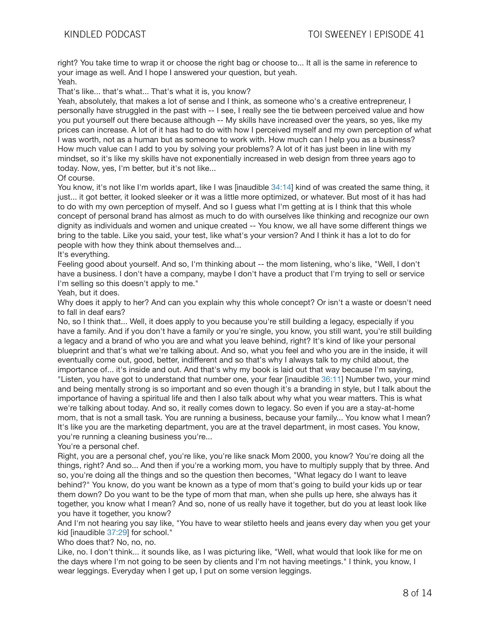right? You take time to wrap it or choose the right bag or choose to... It all is the same in reference to your image as well. And I hope I answered your question, but yeah. Yeah.

That's like... that's what... That's what it is, you know?

Yeah, absolutely, that makes a lot of sense and I think, as someone who's a creative entrepreneur, I personally have struggled in the past with -- I see, I really see the tie between perceived value and how you put yourself out there because although -- My skills have increased over the years, so yes, like my prices can increase. A lot of it has had to do with how I perceived myself and my own perception of what I was worth, not as a human but as someone to work with. How much can I help you as a business? How much value can I add to you by solving your problems? A lot of it has just been in line with my mindset, so it's like my skills have not exponentially increased in web design from three years ago to today. Now, yes, I'm better, but it's not like...

# Of course.

You know, it's not like I'm worlds apart, like I was [inaudible 34:14] kind of was created the same thing, it just... it got better, it looked sleeker or it was a little more optimized, or whatever. But most of it has had to do with my own perception of myself. And so I guess what I'm getting at is I think that this whole concept of personal brand has almost as much to do with ourselves like thinking and recognize our own dignity as individuals and women and unique created -- You know, we all have some different things we bring to the table. Like you said, your test, like what's your version? And I think it has a lot to do for people with how they think about themselves and...

## It's everything.

Feeling good about yourself. And so, I'm thinking about -- the mom listening, who's like, "Well, I don't have a business. I don't have a company, maybe I don't have a product that I'm trying to sell or service I'm selling so this doesn't apply to me."

## Yeah, but it does.

Why does it apply to her? And can you explain why this whole concept? Or isn't a waste or doesn't need to fall in deaf ears?

No, so I think that... Well, it does apply to you because you're still building a legacy, especially if you have a family. And if you don't have a family or you're single, you know, you still want, you're still building a legacy and a brand of who you are and what you leave behind, right? It's kind of like your personal blueprint and that's what we're talking about. And so, what you feel and who you are in the inside, it will eventually come out, good, better, indifferent and so that's why I always talk to my child about, the importance of... it's inside and out. And that's why my book is laid out that way because I'm saying, "Listen, you have got to understand that number one, your fear [inaudible 36:11] Number two, your mind and being mentally strong is so important and so even though it's a branding in style, but I talk about the importance of having a spiritual life and then I also talk about why what you wear matters. This is what we're talking about today. And so, it really comes down to legacy. So even if you are a stay-at-home mom, that is not a small task. You are running a business, because your family... You know what I mean? It's like you are the marketing department, you are at the travel department, in most cases. You know, you're running a cleaning business you're...

# You're a personal chef.

Right, you are a personal chef, you're like, you're like snack Mom 2000, you know? You're doing all the things, right? And so... And then if you're a working mom, you have to multiply supply that by three. And so, you're doing all the things and so the question then becomes, "What legacy do I want to leave behind?" You know, do you want be known as a type of mom that's going to build your kids up or tear them down? Do you want to be the type of mom that man, when she pulls up here, she always has it together, you know what I mean? And so, none of us really have it together, but do you at least look like you have it together, you know?

And I'm not hearing you say like, "You have to wear stiletto heels and jeans every day when you get your kid [inaudible 37:29] for school."

Who does that? No, no, no.

Like, no. I don't think... it sounds like, as I was picturing like, "Well, what would that look like for me on the days where I'm not going to be seen by clients and I'm not having meetings." I think, you know, I wear leggings. Everyday when I get up, I put on some version leggings.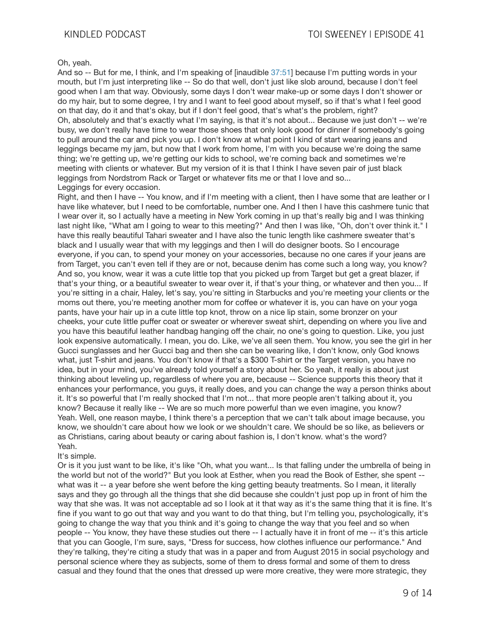#### Oh, yeah.

And so -- But for me, I think, and I'm speaking of [inaudible 37:51] because I'm putting words in your mouth, but I'm just interpreting like -- So do that well, don't just like slob around, because I don't feel good when I am that way. Obviously, some days I don't wear make-up or some days I don't shower or do my hair, but to some degree, I try and I want to feel good about myself, so if that's what I feel good on that day, do it and that's okay, but if I don't feel good, that's what's the problem, right? Oh, absolutely and that's exactly what I'm saying, is that it's not about... Because we just don't -- we're busy, we don't really have time to wear those shoes that only look good for dinner if somebody's going to pull around the car and pick you up. I don't know at what point I kind of start wearing jeans and leggings became my jam, but now that I work from home, I'm with you because we're doing the same thing; we're getting up, we're getting our kids to school, we're coming back and sometimes we're meeting with clients or whatever. But my version of it is that I think I have seven pair of just black leggings from Nordstrom Rack or Target or whatever fits me or that I love and so... Leggings for every occasion.

Right, and then I have -- You know, and if I'm meeting with a client, then I have some that are leather or I have like whatever, but I need to be comfortable, number one. And I then I have this cashmere tunic that I wear over it, so I actually have a meeting in New York coming in up that's really big and I was thinking last night like, "What am I going to wear to this meeting?" And then I was like, "Oh, don't over think it." I have this really beautiful Tahari sweater and I have also the tunic length like cashmere sweater that's black and I usually wear that with my leggings and then I will do designer boots. So I encourage everyone, if you can, to spend your money on your accessories, because no one cares if your jeans are from Target, you can't even tell if they are or not, because denim has come such a long way, you know? And so, you know, wear it was a cute little top that you picked up from Target but get a great blazer, if that's your thing, or a beautiful sweater to wear over it, if that's your thing, or whatever and then you... If you're sitting in a chair, Haley, let's say, you're sitting in Starbucks and you're meeting your clients or the moms out there, you're meeting another mom for coffee or whatever it is, you can have on your yoga pants, have your hair up in a cute little top knot, throw on a nice lip stain, some bronzer on your cheeks, your cute little puffer coat or sweater or wherever sweat shirt, depending on where you live and you have this beautiful leather handbag hanging off the chair, no one's going to question. Like, you just look expensive automatically. I mean, you do. Like, we've all seen them. You know, you see the girl in her Gucci sunglasses and her Gucci bag and then she can be wearing like, I don't know, only God knows what, just T-shirt and jeans. You don't know if that's a \$300 T-shirt or the Target version, you have no idea, but in your mind, you've already told yourself a story about her. So yeah, it really is about just thinking about leveling up, regardless of where you are, because -- Science supports this theory that it enhances your performance, you guys, it really does, and you can change the way a person thinks about it. It's so powerful that I'm really shocked that I'm not... that more people aren't talking about it, you know? Because it really like -- We are so much more powerful than we even imagine, you know? Yeah. Well, one reason maybe, I think there's a perception that we can't talk about image because, you know, we shouldn't care about how we look or we shouldn't care. We should be so like, as believers or as Christians, caring about beauty or caring about fashion is, I don't know. what's the word? Yeah.

#### It's simple.

Or is it you just want to be like, it's like "Oh, what you want... Is that falling under the umbrella of being in the world but not of the world?" But you look at Esther, when you read the Book of Esther, she spent - what was it -- a year before she went before the king getting beauty treatments. So I mean, it literally says and they go through all the things that she did because she couldn't just pop up in front of him the way that she was. It was not acceptable ad so I look at it that way as it's the same thing that it is fine. It's fine if you want to go out that way and you want to do that thing, but I'm telling you, psychologically, it's going to change the way that you think and it's going to change the way that you feel and so when people -- You know, they have these studies out there -- I actually have it in front of me -- it's this article that you can Google, I'm sure, says, "Dress for success, how clothes influence our performance." And they're talking, they're citing a study that was in a paper and from August 2015 in social psychology and personal science where they as subjects, some of them to dress formal and some of them to dress casual and they found that the ones that dressed up were more creative, they were more strategic, they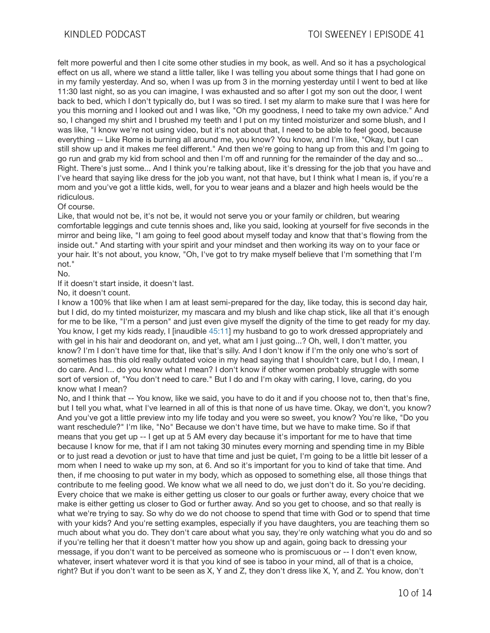felt more powerful and then I cite some other studies in my book, as well. And so it has a psychological effect on us all, where we stand a little taller, like I was telling you about some things that I had gone on in my family yesterday. And so, when I was up from 3 in the morning yesterday until I went to bed at like 11:30 last night, so as you can imagine, I was exhausted and so after I got my son out the door, I went back to bed, which I don't typically do, but I was so tired. I set my alarm to make sure that I was here for you this morning and I looked out and I was like, "Oh my goodness, I need to take my own advice." And so, I changed my shirt and I brushed my teeth and I put on my tinted moisturizer and some blush, and I was like, "I know we're not using video, but it's not about that, I need to be able to feel good, because everything -- Like Rome is burning all around me, you know? You know, and I'm like, "Okay, but I can still show up and it makes me feel different." And then we're going to hang up from this and I'm going to go run and grab my kid from school and then I'm off and running for the remainder of the day and so... Right. There's just some... And I think you're talking about, like it's dressing for the job that you have and I've heard that saying like dress for the job you want, not that have, but I think what I mean is, if you're a mom and you've got a little kids, well, for you to wear jeans and a blazer and high heels would be the ridiculous.

## Of course.

Like, that would not be, it's not be, it would not serve you or your family or children, but wearing comfortable leggings and cute tennis shoes and, like you said, looking at yourself for five seconds in the mirror and being like, "I am going to feel good about myself today and know that that's flowing from the inside out." And starting with your spirit and your mindset and then working its way on to your face or your hair. It's not about, you know, "Oh, I've got to try make myself believe that I'm something that I'm not."

No.

If it doesn't start inside, it doesn't last.

No, it doesn't count.

I know a 100% that like when I am at least semi-prepared for the day, like today, this is second day hair, but I did, do my tinted moisturizer, my mascara and my blush and like chap stick, like all that it's enough for me to be like, "I'm a person" and just even give myself the dignity of the time to get ready for my day. You know, I get my kids ready, I [inaudible 45:11] my husband to go to work dressed appropriately and with gel in his hair and deodorant on, and yet, what am I just going...? Oh, well, I don't matter, you know? I'm I don't have time for that, like that's silly. And I don't know if I'm the only one who's sort of sometimes has this old really outdated voice in my head saying that I shouldn't care, but I do, I mean, I do care. And I... do you know what I mean? I don't know if other women probably struggle with some sort of version of, "You don't need to care." But I do and I'm okay with caring, I love, caring, do you know what I mean?

No, and I think that -- You know, like we said, you have to do it and if you choose not to, then that's fine, but I tell you what, what I've learned in all of this is that none of us have time. Okay, we don't, you know? And you've got a little preview into my life today and you were so sweet, you know? You're like, "Do you want reschedule?" I'm like, "No" Because we don't have time, but we have to make time. So if that means that you get up -- I get up at 5 AM every day because it's important for me to have that time because I know for me, that if I am not taking 30 minutes every morning and spending time in my Bible or to just read a devotion or just to have that time and just be quiet, I'm going to be a little bit lesser of a mom when I need to wake up my son, at 6. And so it's important for you to kind of take that time. And then, if me choosing to put water in my body, which as opposed to something else, all those things that contribute to me feeling good. We know what we all need to do, we just don't do it. So you're deciding. Every choice that we make is either getting us closer to our goals or further away, every choice that we make is either getting us closer to God or further away. And so you get to choose, and so that really is what we're trying to say. So why do we do not choose to spend that time with God or to spend that time with your kids? And you're setting examples, especially if you have daughters, you are teaching them so much about what you do. They don't care about what you say, they're only watching what you do and so if you're telling her that it doesn't matter how you show up and again, going back to dressing your message, if you don't want to be perceived as someone who is promiscuous or -- I don't even know, whatever, insert whatever word it is that you kind of see is taboo in your mind, all of that is a choice, right? But if you don't want to be seen as X, Y and Z, they don't dress like X, Y, and Z. You know, don't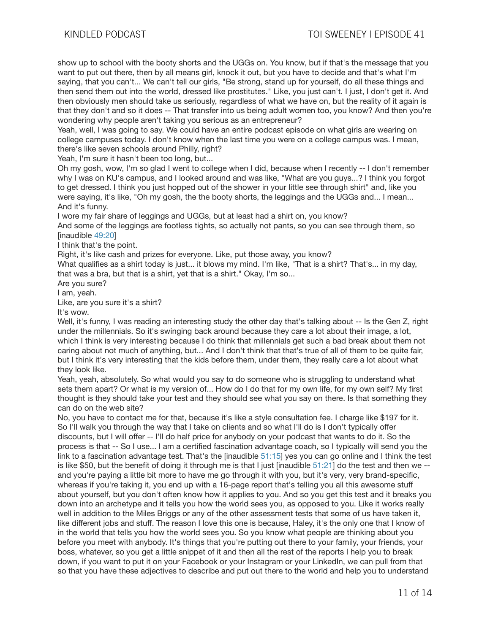show up to school with the booty shorts and the UGGs on. You know, but if that's the message that you want to put out there, then by all means girl, knock it out, but you have to decide and that's what I'm saying, that you can't... We can't tell our girls, "Be strong, stand up for yourself, do all these things and then send them out into the world, dressed like prostitutes." Like, you just can't. I just, I don't get it. And then obviously men should take us seriously, regardless of what we have on, but the reality of it again is that they don't and so it does -- That transfer into us being adult women too, you know? And then you're wondering why people aren't taking you serious as an entrepreneur?

Yeah, well, I was going to say. We could have an entire podcast episode on what girls are wearing on college campuses today. I don't know when the last time you were on a college campus was. I mean, there's like seven schools around Philly, right?

Yeah, I'm sure it hasn't been too long, but...

Oh my gosh, wow, I'm so glad I went to college when I did, because when I recently -- I don't remember why I was on KU's campus, and I looked around and was like, "What are you guys...? I think you forgot to get dressed. I think you just hopped out of the shower in your little see through shirt" and, like you were saying, it's like, "Oh my gosh, the the booty shorts, the leggings and the UGGs and... I mean... And it's funny.

I wore my fair share of leggings and UGGs, but at least had a shirt on, you know?

And some of the leggings are footless tights, so actually not pants, so you can see through them, so [inaudible 49:20]

I think that's the point.

Right, it's like cash and prizes for everyone. Like, put those away, you know?

What qualifies as a shirt today is just... it blows my mind. I'm like, "That is a shirt? That's... in my day, that was a bra, but that is a shirt, yet that is a shirt." Okay, I'm so...

Are you sure?

I am, yeah.

Like, are you sure it's a shirt?

It's wow.

Well, it's funny, I was reading an interesting study the other day that's talking about -- Is the Gen Z, right under the millennials. So it's swinging back around because they care a lot about their image, a lot, which I think is very interesting because I do think that millennials get such a bad break about them not caring about not much of anything, but... And I don't think that that's true of all of them to be quite fair, but I think it's very interesting that the kids before them, under them, they really care a lot about what they look like.

Yeah, yeah, absolutely. So what would you say to do someone who is struggling to understand what sets them apart? Or what is my version of... How do I do that for my own life, for my own self? My first thought is they should take your test and they should see what you say on there. Is that something they can do on the web site?

No, you have to contact me for that, because it's like a style consultation fee. I charge like \$197 for it. So I'll walk you through the way that I take on clients and so what I'll do is I don't typically offer discounts, but I will offer -- I'll do half price for anybody on your podcast that wants to do it. So the process is that -- So I use... I am a certified fascination advantage coach, so I typically will send you the link to a fascination advantage test. That's the [inaudible 51:15] yes you can go online and I think the test is like \$50, but the benefit of doing it through me is that I just [inaudible 51:21] do the test and then we - and you're paying a little bit more to have me go through it with you, but it's very, very brand-specific, whereas if you're taking it, you end up with a 16-page report that's telling you all this awesome stuff about yourself, but you don't often know how it applies to you. And so you get this test and it breaks you down into an archetype and it tells you how the world sees you, as opposed to you. Like it works really well in addition to the Miles Briggs or any of the other assessment tests that some of us have taken it, like different jobs and stuff. The reason I love this one is because, Haley, it's the only one that I know of in the world that tells you how the world sees you. So you know what people are thinking about you before you meet with anybody. It's things that you're putting out there to your family, your friends, your boss, whatever, so you get a little snippet of it and then all the rest of the reports I help you to break down, if you want to put it on your Facebook or your Instagram or your LinkedIn, we can pull from that so that you have these adjectives to describe and put out there to the world and help you to understand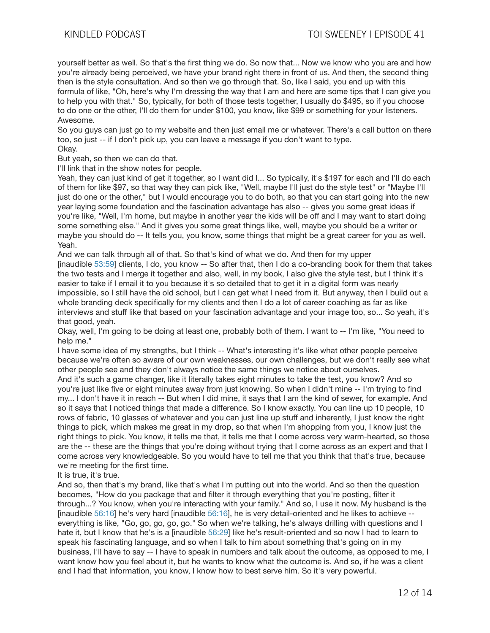yourself better as well. So that's the first thing we do. So now that... Now we know who you are and how you're already being perceived, we have your brand right there in front of us. And then, the second thing then is the style consultation. And so then we go through that. So, like I said, you end up with this formula of like, "Oh, here's why I'm dressing the way that I am and here are some tips that I can give you to help you with that." So, typically, for both of those tests together, I usually do \$495, so if you choose to do one or the other, I'll do them for under \$100, you know, like \$99 or something for your listeners. Awesome.

So you guys can just go to my website and then just email me or whatever. There's a call button on there too, so just -- if I don't pick up, you can leave a message if you don't want to type. Okay.

But yeah, so then we can do that.

I'll link that in the show notes for people.

Yeah, they can just kind of get it together, so I want did I... So typically, it's \$197 for each and I'll do each of them for like \$97, so that way they can pick like, "Well, maybe I'll just do the style test" or "Maybe I'll just do one or the other," but I would encourage you to do both, so that you can start going into the new year laying some foundation and the fascination advantage has also -- gives you some great ideas if you're like, "Well, I'm home, but maybe in another year the kids will be off and I may want to start doing some something else." And it gives you some great things like, well, maybe you should be a writer or maybe you should do -- It tells you, you know, some things that might be a great career for you as well. Yeah.

And we can talk through all of that. So that's kind of what we do. And then for my upper [inaudible 53:59] clients, I do, you know -- So after that, then I do a co-branding book for them that takes the two tests and I merge it together and also, well, in my book, I also give the style test, but I think it's easier to take if I email it to you because it's so detailed that to get it in a digital form was nearly impossible, so I still have the old school, but I can get what I need from it. But anyway, then I build out a whole branding deck specifically for my clients and then I do a lot of career coaching as far as like interviews and stuff like that based on your fascination advantage and your image too, so... So yeah, it's that good, yeah.

Okay, well, I'm going to be doing at least one, probably both of them. I want to -- I'm like, "You need to help me."

I have some idea of my strengths, but I think -- What's interesting it's like what other people perceive because we're often so aware of our own weaknesses, our own challenges, but we don't really see what other people see and they don't always notice the same things we notice about ourselves.

And it's such a game changer, like it literally takes eight minutes to take the test, you know? And so you're just like five or eight minutes away from just knowing. So when I didn't mine -- I'm trying to find my... I don't have it in reach -- But when I did mine, it says that I am the kind of sewer, for example. And so it says that I noticed things that made a difference. So I know exactly. You can line up 10 people, 10 rows of fabric, 10 glasses of whatever and you can just line up stuff and inherently, I just know the right things to pick, which makes me great in my drop, so that when I'm shopping from you, I know just the right things to pick. You know, it tells me that, it tells me that I come across very warm-hearted, so those are the -- these are the things that you're doing without trying that I come across as an expert and that I come across very knowledgeable. So you would have to tell me that you think that that's true, because we're meeting for the first time.

It is true, it's true.

And so, then that's my brand, like that's what I'm putting out into the world. And so then the question becomes, "How do you package that and filter it through everything that you're posting, filter it through...? You know, when you're interacting with your family." And so, I use it now. My husband is the [inaudible 56:16] he's very hard [inaudible 56:16], he is very detail-oriented and he likes to achieve - everything is like, "Go, go, go, go, go." So when we're talking, he's always drilling with questions and I hate it, but I know that he's is a [inaudible 56:29] like he's result-oriented and so now I had to learn to speak his fascinating language, and so when I talk to him about something that's going on in my business, I'll have to say -- I have to speak in numbers and talk about the outcome, as opposed to me, I want know how you feel about it, but he wants to know what the outcome is. And so, if he was a client and I had that information, you know, I know how to best serve him. So it's very powerful.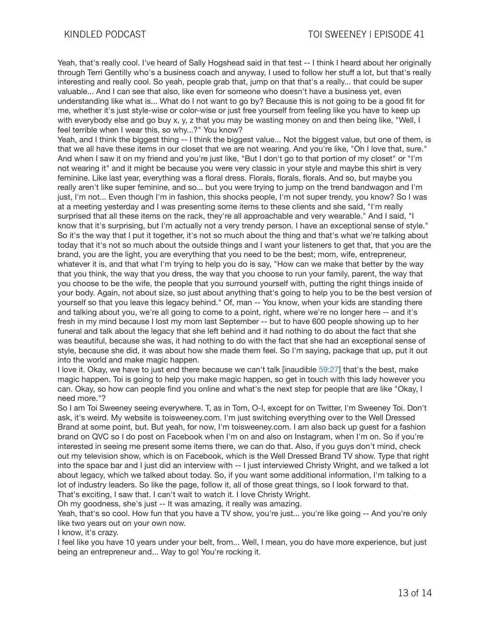Yeah, that's really cool. I've heard of Sally Hogshead said in that test -- I think I heard about her originally through Terri Gentilly who's a business coach and anyway, I used to follow her stuff a lot, but that's really interesting and really cool. So yeah, people grab that, jump on that that's a really... that could be super valuable... And I can see that also, like even for someone who doesn't have a business yet, even understanding like what is... What do I not want to go by? Because this is not going to be a good fit for me, whether it's just style-wise or color-wise or just free yourself from feeling like you have to keep up with everybody else and go buy x, y, z that you may be wasting money on and then being like. "Well, I feel terrible when I wear this, so why...?" You know?

Yeah, and I think the biggest thing -- I think the biggest value... Not the biggest value, but one of them, is that we all have these items in our closet that we are not wearing. And you're like, "Oh I love that, sure." And when I saw it on my friend and you're just like, "But I don't go to that portion of my closet" or "I'm not wearing it" and it might be because you were very classic in your style and maybe this shirt is very feminine. Like last year, everything was a floral dress. Florals, florals, florals. And so, but maybe you really aren't like super feminine, and so... but you were trying to jump on the trend bandwagon and I'm just, I'm not... Even though I'm in fashion, this shocks people, I'm not super trendy, you know? So I was at a meeting yesterday and I was presenting some items to these clients and she said, "I'm really surprised that all these items on the rack, they're all approachable and very wearable." And I said, "I know that it's surprising, but I'm actually not a very trendy person. I have an exceptional sense of style." So it's the way that I put it together, it's not so much about the thing and that's what we're talking about today that it's not so much about the outside things and I want your listeners to get that, that you are the brand, you are the light, you are everything that you need to be the best; mom, wife, entrepreneur, whatever it is, and that what I'm trying to help you do is say, "How can we make that better by the way that you think, the way that you dress, the way that you choose to run your family, parent, the way that you choose to be the wife, the people that you surround yourself with, putting the right things inside of your body. Again, not about size, so just about anything that's going to help you to be the best version of yourself so that you leave this legacy behind." Of, man -- You know, when your kids are standing there and talking about you, we're all going to come to a point, right, where we're no longer here -- and it's fresh in my mind because I lost my mom last September -- but to have 600 people showing up to her funeral and talk about the legacy that she left behind and it had nothing to do about the fact that she was beautiful, because she was, it had nothing to do with the fact that she had an exceptional sense of style, because she did, it was about how she made them feel. So I'm saying, package that up, put it out into the world and make magic happen.

I love it. Okay, we have to just end there because we can't talk [inaudible 59:27] that's the best, make magic happen. Toi is going to help you make magic happen, so get in touch with this lady however you can. Okay, so how can people find you online and what's the next step for people that are like "Okay, I need more."?

So I am Toi Sweeney seeing everywhere. T, as in Tom, O-I, except for on Twitter, I'm Sweeney Toi. Don't ask, it's weird. My website is toisweeney.com. I'm just switching everything over to the Well Dressed Brand at some point, but. But yeah, for now, I'm toisweeney.com. I am also back up guest for a fashion brand on QVC so I do post on Facebook when I'm on and also on Instagram, when I'm on. So if you're interested in seeing me present some items there, we can do that. Also, if you guys don't mind, check out my television show, which is on Facebook, which is the Well Dressed Brand TV show. Type that right into the space bar and I just did an interview with -- I just interviewed Christy Wright, and we talked a lot about legacy, which we talked about today. So, if you want some additional information, I'm talking to a lot of industry leaders. So like the page, follow it, all of those great things, so I look forward to that. That's exciting, I saw that. I can't wait to watch it. I love Christy Wright.

Oh my goodness, she's just -- It was amazing, it really was amazing.

Yeah, that's so cool. How fun that you have a TV show, you're just... you're like going -- And you're only like two years out on your own now.

I know, it's crazy.

I feel like you have 10 years under your belt, from... Well, I mean, you do have more experience, but just being an entrepreneur and... Way to go! You're rocking it.